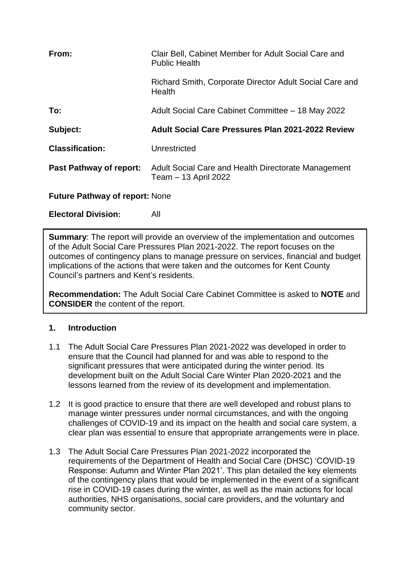| From:                          | Clair Bell, Cabinet Member for Adult Social Care and<br><b>Public Health</b> |
|--------------------------------|------------------------------------------------------------------------------|
|                                | Richard Smith, Corporate Director Adult Social Care and<br>Health            |
| To:                            | Adult Social Care Cabinet Committee - 18 May 2022                            |
|                                |                                                                              |
| Subject:                       | <b>Adult Social Care Pressures Plan 2021-2022 Review</b>                     |
| <b>Classification:</b>         | Unrestricted                                                                 |
| <b>Past Pathway of report:</b> | Adult Social Care and Health Directorate Management<br>Team - 13 April 2022  |

**Electoral Division:** All

**Summary**: The report will provide an overview of the implementation and outcomes of the Adult Social Care Pressures Plan 2021-2022. The report focuses on the outcomes of contingency plans to manage pressure on services, financial and budget implications of the actions that were taken and the outcomes for Kent County Council's partners and Kent's residents.

**Recommendation:** The Adult Social Care Cabinet Committee is asked to **NOTE** and **CONSIDER** the content of the report.

### **1. Introduction**

- 1.1 The Adult Social Care Pressures Plan 2021-2022 was developed in order to ensure that the Council had planned for and was able to respond to the significant pressures that were anticipated during the winter period. Its development built on the Adult Social Care Winter Plan 2020-2021 and the lessons learned from the review of its development and implementation.
- 1.2 It is good practice to ensure that there are well developed and robust plans to manage winter pressures under normal circumstances, and with the ongoing challenges of COVID-19 and its impact on the health and social care system, a clear plan was essential to ensure that appropriate arrangements were in place.
- 1.3 The Adult Social Care Pressures Plan 2021-2022 incorporated the requirements of the Department of Health and Social Care (DHSC) 'COVID-19 Response: Autumn and Winter Plan 2021'. This plan detailed the key elements of the contingency plans that would be implemented in the event of a significant rise in COVID-19 cases during the winter, as well as the main actions for local authorities, NHS organisations, social care providers, and the voluntary and community sector.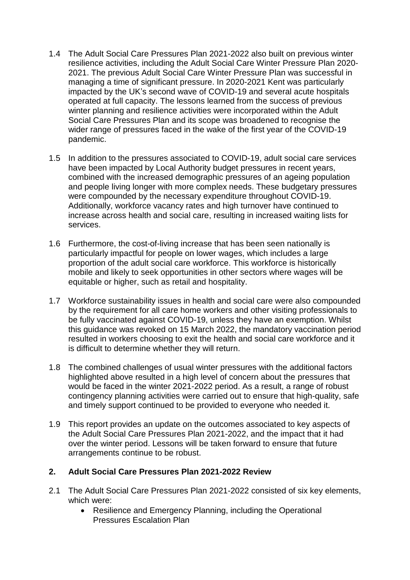- 1.4 The Adult Social Care Pressures Plan 2021-2022 also built on previous winter resilience activities, including the Adult Social Care Winter Pressure Plan 2020- 2021. The previous Adult Social Care Winter Pressure Plan was successful in managing a time of significant pressure. In 2020-2021 Kent was particularly impacted by the UK's second wave of COVID-19 and several acute hospitals operated at full capacity. The lessons learned from the success of previous winter planning and resilience activities were incorporated within the Adult Social Care Pressures Plan and its scope was broadened to recognise the wider range of pressures faced in the wake of the first year of the COVID-19 pandemic.
- 1.5 In addition to the pressures associated to COVID-19, adult social care services have been impacted by Local Authority budget pressures in recent years, combined with the increased demographic pressures of an ageing population and people living longer with more complex needs. These budgetary pressures were compounded by the necessary expenditure throughout COVID-19. Additionally, workforce vacancy rates and high turnover have continued to increase across health and social care, resulting in increased waiting lists for services.
- 1.6 Furthermore, the cost-of-living increase that has been seen nationally is particularly impactful for people on lower wages, which includes a large proportion of the adult social care workforce. This workforce is historically mobile and likely to seek opportunities in other sectors where wages will be equitable or higher, such as retail and hospitality.
- 1.7 Workforce sustainability issues in health and social care were also compounded by the requirement for all care home workers and other visiting professionals to be fully vaccinated against COVID-19, unless they have an exemption. Whilst this guidance was revoked on 15 March 2022, the mandatory vaccination period resulted in workers choosing to exit the health and social care workforce and it is difficult to determine whether they will return.
- 1.8 The combined challenges of usual winter pressures with the additional factors highlighted above resulted in a high level of concern about the pressures that would be faced in the winter 2021-2022 period. As a result, a range of robust contingency planning activities were carried out to ensure that high-quality, safe and timely support continued to be provided to everyone who needed it.
- 1.9 This report provides an update on the outcomes associated to key aspects of the Adult Social Care Pressures Plan 2021-2022, and the impact that it had over the winter period. Lessons will be taken forward to ensure that future arrangements continue to be robust.

### **2. Adult Social Care Pressures Plan 2021-2022 Review**

- 2.1 The Adult Social Care Pressures Plan 2021-2022 consisted of six key elements, which were:
	- Resilience and Emergency Planning, including the Operational Pressures Escalation Plan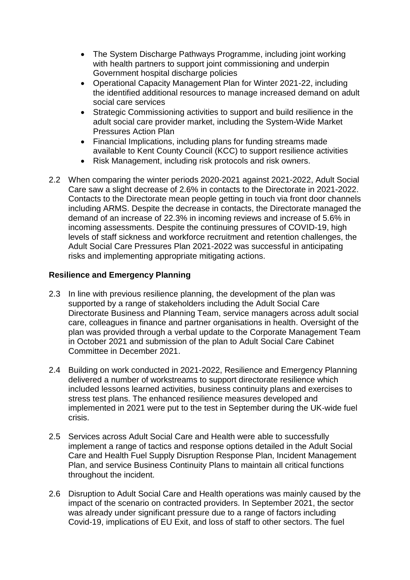- The System Discharge Pathways Programme, including joint working with health partners to support joint commissioning and underpin Government hospital discharge policies
- Operational Capacity Management Plan for Winter 2021-22, including the identified additional resources to manage increased demand on adult social care services
- Strategic Commissioning activities to support and build resilience in the adult social care provider market, including the System-Wide Market Pressures Action Plan
- Financial Implications, including plans for funding streams made available to Kent County Council (KCC) to support resilience activities
- Risk Management, including risk protocols and risk owners.
- 2.2 When comparing the winter periods 2020-2021 against 2021-2022, Adult Social Care saw a slight decrease of 2.6% in contacts to the Directorate in 2021-2022. Contacts to the Directorate mean people getting in touch via front door channels including ARMS. Despite the decrease in contacts, the Directorate managed the demand of an increase of 22.3% in incoming reviews and increase of 5.6% in incoming assessments. Despite the continuing pressures of COVID-19, high levels of staff sickness and workforce recruitment and retention challenges, the Adult Social Care Pressures Plan 2021-2022 was successful in anticipating risks and implementing appropriate mitigating actions.

## **Resilience and Emergency Planning**

- 2.3 In line with previous resilience planning, the development of the plan was supported by a range of stakeholders including the Adult Social Care Directorate Business and Planning Team, service managers across adult social care, colleagues in finance and partner organisations in health. Oversight of the plan was provided through a verbal update to the Corporate Management Team in October 2021 and submission of the plan to Adult Social Care Cabinet Committee in December 2021.
- 2.4 Building on work conducted in 2021-2022, Resilience and Emergency Planning delivered a number of workstreams to support directorate resilience which included lessons learned activities, business continuity plans and exercises to stress test plans. The enhanced resilience measures developed and implemented in 2021 were put to the test in September during the UK-wide fuel crisis.
- 2.5 Services across Adult Social Care and Health were able to successfully implement a range of tactics and response options detailed in the Adult Social Care and Health Fuel Supply Disruption Response Plan, Incident Management Plan, and service Business Continuity Plans to maintain all critical functions throughout the incident.
- 2.6 Disruption to Adult Social Care and Health operations was mainly caused by the impact of the scenario on contracted providers. In September 2021, the sector was already under significant pressure due to a range of factors including Covid-19, implications of EU Exit, and loss of staff to other sectors. The fuel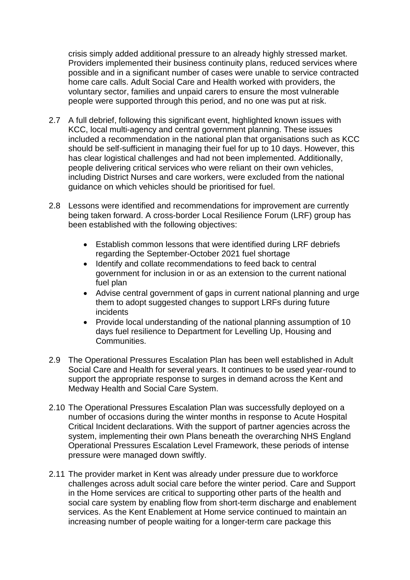crisis simply added additional pressure to an already highly stressed market. Providers implemented their business continuity plans, reduced services where possible and in a significant number of cases were unable to service contracted home care calls. Adult Social Care and Health worked with providers, the voluntary sector, families and unpaid carers to ensure the most vulnerable people were supported through this period, and no one was put at risk.

- 2.7 A full debrief, following this significant event, highlighted known issues with KCC, local multi-agency and central government planning. These issues included a recommendation in the national plan that organisations such as KCC should be self-sufficient in managing their fuel for up to 10 days. However, this has clear logistical challenges and had not been implemented. Additionally, people delivering critical services who were reliant on their own vehicles, including District Nurses and care workers, were excluded from the national guidance on which vehicles should be prioritised for fuel.
- 2.8 Lessons were identified and recommendations for improvement are currently being taken forward. A cross-border Local Resilience Forum (LRF) group has been established with the following objectives:
	- Establish common lessons that were identified during LRF debriefs regarding the September-October 2021 fuel shortage
	- Identify and collate recommendations to feed back to central government for inclusion in or as an extension to the current national fuel plan
	- Advise central government of gaps in current national planning and urge them to adopt suggested changes to support LRFs during future incidents
	- Provide local understanding of the national planning assumption of 10 days fuel resilience to Department for Levelling Up, Housing and Communities.
- 2.9 The Operational Pressures Escalation Plan has been well established in Adult Social Care and Health for several years. It continues to be used year-round to support the appropriate response to surges in demand across the Kent and Medway Health and Social Care System.
- 2.10 The Operational Pressures Escalation Plan was successfully deployed on a number of occasions during the winter months in response to Acute Hospital Critical Incident declarations. With the support of partner agencies across the system, implementing their own Plans beneath the overarching NHS England Operational Pressures Escalation Level Framework, these periods of intense pressure were managed down swiftly.
- 2.11 The provider market in Kent was already under pressure due to workforce challenges across adult social care before the winter period. Care and Support in the Home services are critical to supporting other parts of the health and social care system by enabling flow from short-term discharge and enablement services. As the Kent Enablement at Home service continued to maintain an increasing number of people waiting for a longer-term care package this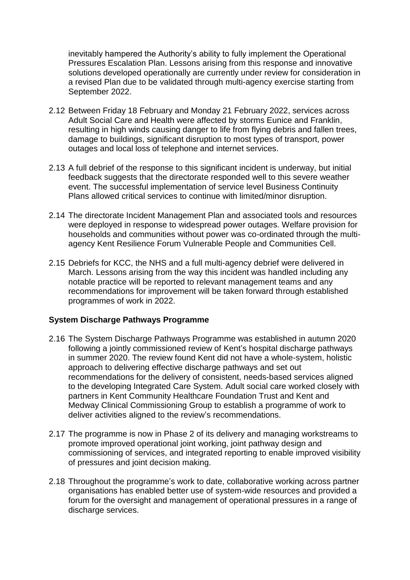inevitably hampered the Authority's ability to fully implement the Operational Pressures Escalation Plan. Lessons arising from this response and innovative solutions developed operationally are currently under review for consideration in a revised Plan due to be validated through multi-agency exercise starting from September 2022.

- 2.12 Between Friday 18 February and Monday 21 February 2022, services across Adult Social Care and Health were affected by storms Eunice and Franklin, resulting in high winds causing danger to life from flying debris and fallen trees, damage to buildings, significant disruption to most types of transport, power outages and local loss of telephone and internet services.
- 2.13 A full debrief of the response to this significant incident is underway, but initial feedback suggests that the directorate responded well to this severe weather event. The successful implementation of service level Business Continuity Plans allowed critical services to continue with limited/minor disruption.
- 2.14 The directorate Incident Management Plan and associated tools and resources were deployed in response to widespread power outages. Welfare provision for households and communities without power was co-ordinated through the multiagency Kent Resilience Forum Vulnerable People and Communities Cell.
- 2.15 Debriefs for KCC, the NHS and a full multi-agency debrief were delivered in March. Lessons arising from the way this incident was handled including any notable practice will be reported to relevant management teams and any recommendations for improvement will be taken forward through established programmes of work in 2022.

### **System Discharge Pathways Programme**

- 2.16 The System Discharge Pathways Programme was established in autumn 2020 following a jointly commissioned review of Kent's hospital discharge pathways in summer 2020. The review found Kent did not have a whole-system, holistic approach to delivering effective discharge pathways and set out recommendations for the delivery of consistent, needs-based services aligned to the developing Integrated Care System. Adult social care worked closely with partners in Kent Community Healthcare Foundation Trust and Kent and Medway Clinical Commissioning Group to establish a programme of work to deliver activities aligned to the review's recommendations.
- 2.17 The programme is now in Phase 2 of its delivery and managing workstreams to promote improved operational joint working, joint pathway design and commissioning of services, and integrated reporting to enable improved visibility of pressures and joint decision making.
- 2.18 Throughout the programme's work to date, collaborative working across partner organisations has enabled better use of system-wide resources and provided a forum for the oversight and management of operational pressures in a range of discharge services.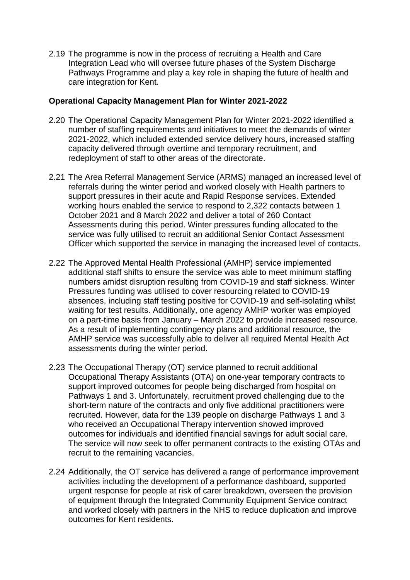2.19 The programme is now in the process of recruiting a Health and Care Integration Lead who will oversee future phases of the System Discharge Pathways Programme and play a key role in shaping the future of health and care integration for Kent.

### **Operational Capacity Management Plan for Winter 2021-2022**

- 2.20 The Operational Capacity Management Plan for Winter 2021-2022 identified a number of staffing requirements and initiatives to meet the demands of winter 2021-2022, which included extended service delivery hours, increased staffing capacity delivered through overtime and temporary recruitment, and redeployment of staff to other areas of the directorate.
- 2.21 The Area Referral Management Service (ARMS) managed an increased level of referrals during the winter period and worked closely with Health partners to support pressures in their acute and Rapid Response services. Extended working hours enabled the service to respond to 2,322 contacts between 1 October 2021 and 8 March 2022 and deliver a total of 260 Contact Assessments during this period. Winter pressures funding allocated to the service was fully utilised to recruit an additional Senior Contact Assessment Officer which supported the service in managing the increased level of contacts.
- 2.22 The Approved Mental Health Professional (AMHP) service implemented additional staff shifts to ensure the service was able to meet minimum staffing numbers amidst disruption resulting from COVID-19 and staff sickness. Winter Pressures funding was utilised to cover resourcing related to COVID-19 absences, including staff testing positive for COVID-19 and self-isolating whilst waiting for test results. Additionally, one agency AMHP worker was employed on a part-time basis from January – March 2022 to provide increased resource. As a result of implementing contingency plans and additional resource, the AMHP service was successfully able to deliver all required Mental Health Act assessments during the winter period.
- 2.23 The Occupational Therapy (OT) service planned to recruit additional Occupational Therapy Assistants (OTA) on one-year temporary contracts to support improved outcomes for people being discharged from hospital on Pathways 1 and 3. Unfortunately, recruitment proved challenging due to the short-term nature of the contracts and only five additional practitioners were recruited. However, data for the 139 people on discharge Pathways 1 and 3 who received an Occupational Therapy intervention showed improved outcomes for individuals and identified financial savings for adult social care. The service will now seek to offer permanent contracts to the existing OTAs and recruit to the remaining vacancies.
- 2.24 Additionally, the OT service has delivered a range of performance improvement activities including the development of a performance dashboard, supported urgent response for people at risk of carer breakdown, overseen the provision of equipment through the Integrated Community Equipment Service contract and worked closely with partners in the NHS to reduce duplication and improve outcomes for Kent residents.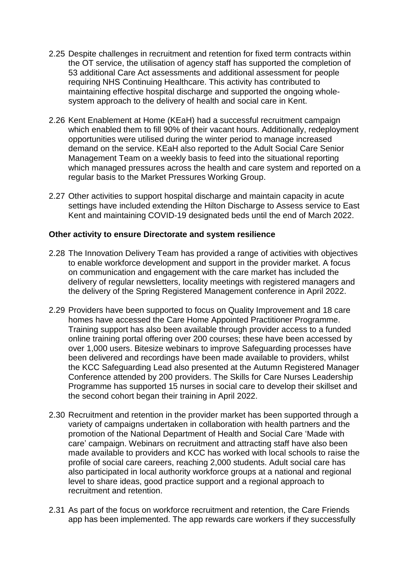- 2.25 Despite challenges in recruitment and retention for fixed term contracts within the OT service, the utilisation of agency staff has supported the completion of 53 additional Care Act assessments and additional assessment for people requiring NHS Continuing Healthcare. This activity has contributed to maintaining effective hospital discharge and supported the ongoing wholesystem approach to the delivery of health and social care in Kent.
- 2.26 Kent Enablement at Home (KEaH) had a successful recruitment campaign which enabled them to fill 90% of their vacant hours. Additionally, redeployment opportunities were utilised during the winter period to manage increased demand on the service. KEaH also reported to the Adult Social Care Senior Management Team on a weekly basis to feed into the situational reporting which managed pressures across the health and care system and reported on a regular basis to the Market Pressures Working Group.
- 2.27 Other activities to support hospital discharge and maintain capacity in acute settings have included extending the Hilton Discharge to Assess service to East Kent and maintaining COVID-19 designated beds until the end of March 2022.

### **Other activity to ensure Directorate and system resilience**

- 2.28 The Innovation Delivery Team has provided a range of activities with objectives to enable workforce development and support in the provider market. A focus on communication and engagement with the care market has included the delivery of regular newsletters, locality meetings with registered managers and the delivery of the Spring Registered Management conference in April 2022.
- 2.29 Providers have been supported to focus on Quality Improvement and 18 care homes have accessed the Care Home Appointed Practitioner Programme. Training support has also been available through provider access to a funded online training portal offering over 200 courses; these have been accessed by over 1,000 users. Bitesize webinars to improve Safeguarding processes have been delivered and recordings have been made available to providers, whilst the KCC Safeguarding Lead also presented at the Autumn Registered Manager Conference attended by 200 providers. The Skills for Care Nurses Leadership Programme has supported 15 nurses in social care to develop their skillset and the second cohort began their training in April 2022.
- 2.30 Recruitment and retention in the provider market has been supported through a variety of campaigns undertaken in collaboration with health partners and the promotion of the National Department of Health and Social Care 'Made with care' campaign. Webinars on recruitment and attracting staff have also been made available to providers and KCC has worked with local schools to raise the profile of social care careers, reaching 2,000 students. Adult social care has also participated in local authority workforce groups at a national and regional level to share ideas, good practice support and a regional approach to recruitment and retention.
- 2.31 As part of the focus on workforce recruitment and retention, the Care Friends app has been implemented. The app rewards care workers if they successfully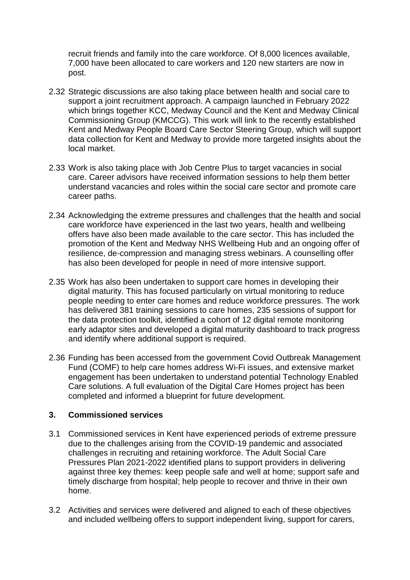recruit friends and family into the care workforce. Of 8,000 licences available, 7,000 have been allocated to care workers and 120 new starters are now in post.

- 2.32 Strategic discussions are also taking place between health and social care to support a joint recruitment approach. A campaign launched in February 2022 which brings together KCC, Medway Council and the Kent and Medway Clinical Commissioning Group (KMCCG). This work will link to the recently established Kent and Medway People Board Care Sector Steering Group, which will support data collection for Kent and Medway to provide more targeted insights about the local market.
- 2.33 Work is also taking place with Job Centre Plus to target vacancies in social care. Career advisors have received information sessions to help them better understand vacancies and roles within the social care sector and promote care career paths.
- 2.34 Acknowledging the extreme pressures and challenges that the health and social care workforce have experienced in the last two years, health and wellbeing offers have also been made available to the care sector. This has included the promotion of the Kent and Medway NHS Wellbeing Hub and an ongoing offer of resilience, de-compression and managing stress webinars. A counselling offer has also been developed for people in need of more intensive support.
- 2.35 Work has also been undertaken to support care homes in developing their digital maturity. This has focused particularly on virtual monitoring to reduce people needing to enter care homes and reduce workforce pressures. The work has delivered 381 training sessions to care homes, 235 sessions of support for the data protection toolkit, identified a cohort of 12 digital remote monitoring early adaptor sites and developed a digital maturity dashboard to track progress and identify where additional support is required.
- 2.36 Funding has been accessed from the government Covid Outbreak Management Fund (COMF) to help care homes address Wi-Fi issues, and extensive market engagement has been undertaken to understand potential Technology Enabled Care solutions. A full evaluation of the Digital Care Homes project has been completed and informed a blueprint for future development.

### **3. Commissioned services**

- 3.1 Commissioned services in Kent have experienced periods of extreme pressure due to the challenges arising from the COVID-19 pandemic and associated challenges in recruiting and retaining workforce. The Adult Social Care Pressures Plan 2021-2022 identified plans to support providers in delivering against three key themes: keep people safe and well at home; support safe and timely discharge from hospital; help people to recover and thrive in their own home.
- 3.2 Activities and services were delivered and aligned to each of these objectives and included wellbeing offers to support independent living, support for carers,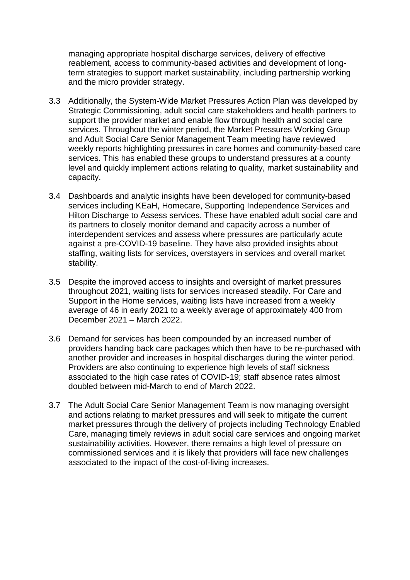managing appropriate hospital discharge services, delivery of effective reablement, access to community-based activities and development of longterm strategies to support market sustainability, including partnership working and the micro provider strategy.

- 3.3 Additionally, the System-Wide Market Pressures Action Plan was developed by Strategic Commissioning, adult social care stakeholders and health partners to support the provider market and enable flow through health and social care services. Throughout the winter period, the Market Pressures Working Group and Adult Social Care Senior Management Team meeting have reviewed weekly reports highlighting pressures in care homes and community-based care services. This has enabled these groups to understand pressures at a county level and quickly implement actions relating to quality, market sustainability and capacity.
- 3.4 Dashboards and analytic insights have been developed for community-based services including KEaH, Homecare, Supporting Independence Services and Hilton Discharge to Assess services. These have enabled adult social care and its partners to closely monitor demand and capacity across a number of interdependent services and assess where pressures are particularly acute against a pre-COVID-19 baseline. They have also provided insights about staffing, waiting lists for services, overstayers in services and overall market stability.
- 3.5 Despite the improved access to insights and oversight of market pressures throughout 2021, waiting lists for services increased steadily. For Care and Support in the Home services, waiting lists have increased from a weekly average of 46 in early 2021 to a weekly average of approximately 400 from December 2021 – March 2022.
- 3.6 Demand for services has been compounded by an increased number of providers handing back care packages which then have to be re-purchased with another provider and increases in hospital discharges during the winter period. Providers are also continuing to experience high levels of staff sickness associated to the high case rates of COVID-19; staff absence rates almost doubled between mid-March to end of March 2022.
- 3.7 The Adult Social Care Senior Management Team is now managing oversight and actions relating to market pressures and will seek to mitigate the current market pressures through the delivery of projects including Technology Enabled Care, managing timely reviews in adult social care services and ongoing market sustainability activities. However, there remains a high level of pressure on commissioned services and it is likely that providers will face new challenges associated to the impact of the cost-of-living increases.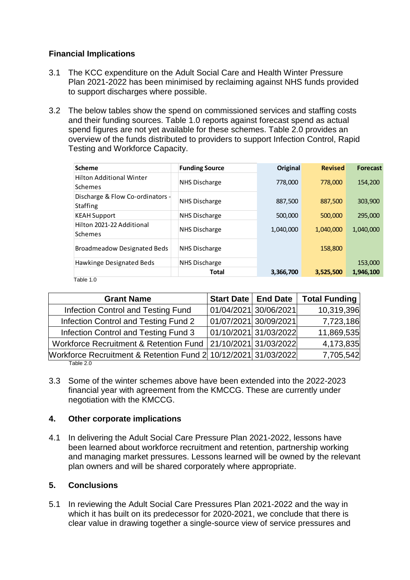## **Financial Implications**

- 3.1 The KCC expenditure on the Adult Social Care and Health Winter Pressure Plan 2021-2022 has been minimised by reclaiming against NHS funds provided to support discharges where possible.
- 3.2 The below tables show the spend on commissioned services and staffing costs and their funding sources. Table 1.0 reports against forecast spend as actual spend figures are not yet available for these schemes. Table 2.0 provides an overview of the funds distributed to providers to support Infection Control, Rapid Testing and Workforce Capacity.

| <b>Scheme</b>                                       | <b>Funding Source</b> | Original  | <b>Revised</b> | <b>Forecast</b> |
|-----------------------------------------------------|-----------------------|-----------|----------------|-----------------|
| <b>Hilton Additional Winter</b><br>Schemes          | NHS Discharge         | 778,000   | 778,000        | 154,200         |
| Discharge & Flow Co-ordinators -<br><b>Staffing</b> | NHS Discharge         | 887,500   | 887,500        | 303,900         |
| <b>KEAH Support</b>                                 | NHS Discharge         | 500,000   | 500,000        | 295.000         |
| Hilton 2021-22 Additional<br>Schemes                | NHS Discharge         | 1,040,000 | 1,040,000      | 1,040,000       |
| <b>Broadmeadow Designated Beds</b>                  | NHS Discharge         |           | 158,800        |                 |
| Hawkinge Designated Beds                            | NHS Discharge         |           |                | 153,000         |
|                                                     | <b>Total</b>          | 3,366,700 | 3,525,500      | 1,946,100       |

Table 1.0

| <b>Grant Name</b>                                              | <b>Start Date   End Date</b> |                       | <b>Total Funding</b> |
|----------------------------------------------------------------|------------------------------|-----------------------|----------------------|
| Infection Control and Testing Fund                             |                              | 01/04/2021 30/06/2021 | 10,319,396           |
| Infection Control and Testing Fund 2                           |                              | 01/07/2021 30/09/2021 | 7,723,186            |
| Infection Control and Testing Fund 3                           |                              | 01/10/2021 31/03/2022 | 11,869,535           |
| Workforce Recruitment & Retention Fund 21/10/2021 31/03/2022   |                              |                       | 4,173,835            |
| Workforce Recruitment & Retention Fund 2 10/12/2021 31/03/2022 |                              |                       | 7,705,542            |
| Table 2.0                                                      |                              |                       |                      |

3.3 Some of the winter schemes above have been extended into the 2022-2023 financial year with agreement from the KMCCG. These are currently under negotiation with the KMCCG.

## **4. Other corporate implications**

4.1 In delivering the Adult Social Care Pressure Plan 2021-2022, lessons have been learned about workforce recruitment and retention, partnership working and managing market pressures. Lessons learned will be owned by the relevant plan owners and will be shared corporately where appropriate.

## **5. Conclusions**

5.1 In reviewing the Adult Social Care Pressures Plan 2021-2022 and the way in which it has built on its predecessor for 2020-2021, we conclude that there is clear value in drawing together a single-source view of service pressures and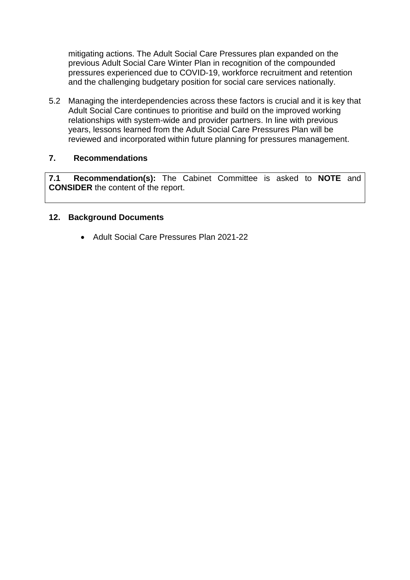mitigating actions. The Adult Social Care Pressures plan expanded on the previous Adult Social Care Winter Plan in recognition of the compounded pressures experienced due to COVID-19, workforce recruitment and retention and the challenging budgetary position for social care services nationally.

5.2 Managing the interdependencies across these factors is crucial and it is key that Adult Social Care continues to prioritise and build on the improved working relationships with system-wide and provider partners. In line with previous years, lessons learned from the Adult Social Care Pressures Plan will be reviewed and incorporated within future planning for pressures management.

### **7. Recommendations**

**7.1 Recommendation(s):** The Cabinet Committee is asked to **NOTE** and **CONSIDER** the content of the report.

### **12. Background Documents**

• Adult Social Care Pressures Plan 2021-22